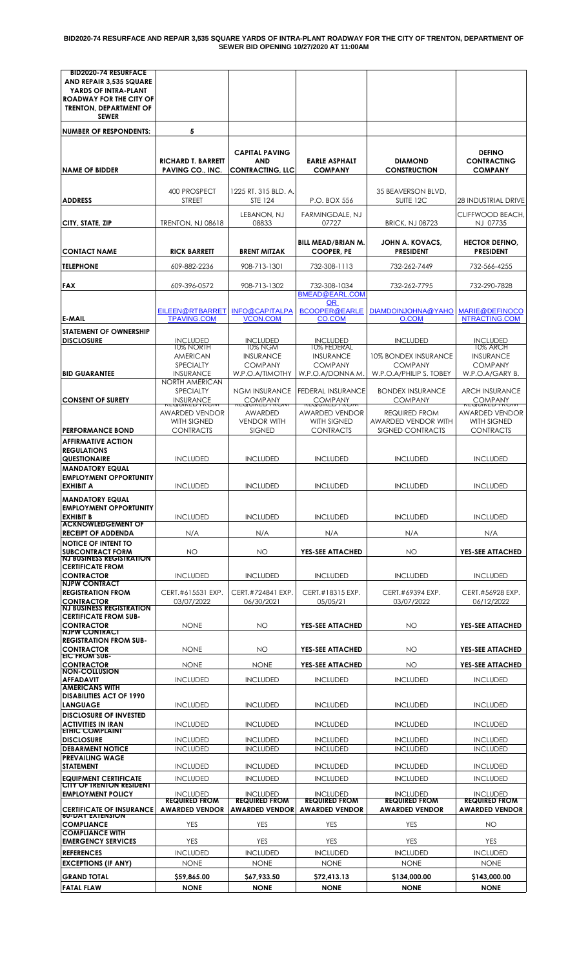**BID2020-74 RESURFACE AND REPAIR 3,535 SQUARE YARDS OF INTRA-PLANT ROADWAY FOR THE CITY OF TRENTON, DEPARTMENT OF SEWER BID OPENING 10/27/2020 AT 11:00AM**

| <b>BID2020-74 RESURFACE</b><br>AND REPAIR 3,535 SQUARE<br>YARDS OF INTRA-PLANT<br>ROADWAY FOR THE CITY OF<br><b>TRENTON, DEPARTMENT OF</b><br><b>SEWER</b> |                                                                           |                                                                |                                                                     |                                                                          |                                                              |
|------------------------------------------------------------------------------------------------------------------------------------------------------------|---------------------------------------------------------------------------|----------------------------------------------------------------|---------------------------------------------------------------------|--------------------------------------------------------------------------|--------------------------------------------------------------|
| <b>NUMBER OF RESPONDENTS:</b>                                                                                                                              | 5                                                                         |                                                                |                                                                     |                                                                          |                                                              |
| <b>NAME OF BIDDER</b>                                                                                                                                      | <b>RICHARD T. BARRETT</b><br><b>PAVING CO., INC.</b>                      | <b>CAPITAL PAVING</b><br><b>AND</b><br><b>CONTRACTING, LLC</b> | <b>EARLE ASPHALT</b><br><b>COMPANY</b>                              | <b>DIAMOND</b><br><b>CONSTRUCTION</b>                                    | <b>DEFINO</b><br><b>CONTRACTING</b><br><b>COMPANY</b>        |
| <b>ADDRESS</b>                                                                                                                                             | 400 PROSPECT<br>STREET                                                    | 1225 RT. 315 BLD. A.<br>STE 124                                | P.O. BOX 556                                                        | 35 BEAVERSON BLVD.<br>SUITE 12C                                          | <b>28 INDUSTRIAL DRIVE</b>                                   |
| CITY, STATE, ZIP                                                                                                                                           | <b>TRENTON, NJ 08618</b>                                                  | LEBANON, NJ<br>08833                                           | FARMINGDALE, NJ<br>07727                                            | <b>BRICK, NJ 08723</b>                                                   | CLIFFWOOD BEACH,<br>NJ 07735                                 |
| <b>CONTACT NAME</b>                                                                                                                                        | <b>RICK BARRETT</b>                                                       | <b>BRENT MITZAK</b>                                            | <b>BILL MEAD/BRIAN M.</b><br><b>COOPER, PE</b>                      | <b>JOHN A. KOVACS,</b><br><b>PRESIDENT</b>                               | <b>HECTOR DEFINO,</b><br><b>PRESIDENT</b>                    |
| <b>TELEPHONE</b>                                                                                                                                           | 609-882-2236                                                              | 908-713-1301                                                   | 732-308-1113                                                        | 732-262-7449                                                             | 732-566-4255                                                 |
| <b>FAX</b>                                                                                                                                                 | 609-396-0572                                                              | 908-713-1302                                                   | 732-308-1034<br><b>BMEAD@EARL.COM</b>                               | 732-262-7795                                                             | 732-290-7828                                                 |
| <b>E-MAIL</b>                                                                                                                                              | EILEEN@RTBARRET<br><b>TPAVING.COM</b>                                     | <b>INFO@CAPITALPA</b><br><b>VCON.COM</b>                       | OR.<br><b>BCOOPER@EARLE</b><br>CO.COM                               | DIAMDOINJOHNA@YAHO<br>O.COM                                              | <b>MARIE@DEFINOCO</b><br>NTRACTING.COM                       |
| <b>STATEMENT OF OWNERSHIP</b>                                                                                                                              |                                                                           |                                                                |                                                                     |                                                                          |                                                              |
| <b>DISCLOSURE</b>                                                                                                                                          | <b>INCLUDED</b><br>10% NORTH                                              | <b>INCLUDED</b><br>10% NGM                                     | <b>INCLUDED</b><br>10% FEDERAL                                      | <b>INCLUDED</b>                                                          | <b>INCLUDED</b><br>10% ARCH                                  |
| <b>BID GUARANTEE</b>                                                                                                                                       | <b>AMERICAN</b><br><b>SPECIALTY</b><br><b>INSURANCE</b><br>NORTH AMERICAN | <b>INSURANCE</b><br><b>COMPANY</b><br>W.P.O.A/TIMOTHY          | <b>INSURANCE</b><br><b>COMPANY</b><br>W.P.O.A/DONNA M.              | <b>10% BONDEX INSURANCE</b><br><b>COMPANY</b><br>W.P.O.A/PHILIP S. TOBEY | <b>INSURANCE</b><br><b>COMPANY</b><br>W.P.O.A/GARY B.        |
| <b>CONSENT OF SURETY</b>                                                                                                                                   | <b>SPECIALTY</b><br><b>INSURANCE</b>                                      | <b>NGM INSURANCE</b><br><b>COMPANY</b>                         | <b>FEDERAL INSURANCE</b><br><b>COMPANY</b>                          | <b>BONDEX INSURANCE</b><br><b>COMPANY</b>                                | <b>ARCH INSURANCE</b><br><b>COMPANY</b>                      |
|                                                                                                                                                            | <del>נשטות בט הלטו</del><br><b>AWARDED VENDOR</b><br><b>WITH SIGNED</b>   | <b>KLQUIKLD TROIV</b><br>AWARDED<br><b>VENDOR WITH</b>         | <b>KLQUIKLU TKUM</b><br><b>AWARDED VENDOR</b><br><b>WITH SIGNED</b> | <b>REQUIRED FROM</b><br>AWARDED VENDOR WITH                              | <b>KLQUIKLD TKON</b><br>AWARDED VENDOR<br><b>WITH SIGNED</b> |
| <b>PERFORMANCE BOND</b><br><b>AFFIRMATIVE ACTION</b>                                                                                                       | <b>CONTRACTS</b>                                                          | <b>SIGNED</b>                                                  | <b>CONTRACTS</b>                                                    | SIGNED CONTRACTS                                                         | <b>CONTRACTS</b>                                             |
| <b>REGULATIONS</b><br><b>QUESTIONAIRE</b><br><b>MANDATORY EQUAL</b>                                                                                        | <b>INCLUDED</b>                                                           | <b>INCLUDED</b>                                                | <b>INCLUDED</b>                                                     | <b>INCLUDED</b>                                                          | <b>INCLUDED</b>                                              |
| <b>EMPLOYMENT OPPORTUNITY</b><br><b>EXHIBIT A</b>                                                                                                          | <b>INCLUDED</b>                                                           | <b>INCLUDED</b>                                                | <b>INCLUDED</b>                                                     | <b>INCLUDED</b>                                                          | <b>INCLUDED</b>                                              |
| <b>MANDATORY EQUAL</b><br><b>EMPLOYMENT OPPORTUNITY</b><br><b>EXHIBIT B</b><br><b>ACKNOWLEDGEMENT OF</b>                                                   | <b>INCLUDED</b>                                                           | <b>INCLUDED</b>                                                | <b>INCLUDED</b>                                                     | <b>INCLUDED</b>                                                          | <b>INCLUDED</b>                                              |
| <b>RECEIPT OF ADDENDA</b>                                                                                                                                  | N/A                                                                       | N/A                                                            | N/A                                                                 | N/A                                                                      | N/A                                                          |
| <b>NOTICE OF INTENT TO</b><br><b>SUBCONTRACT FORM</b>                                                                                                      | NO                                                                        | ΝO                                                             | <b>YES-SEE ATTACHED</b>                                             | NO                                                                       | <b>YES-SEE ATTACHED</b>                                      |
| <b>NJ BUSINESS REGISTRATION</b><br><b>CERTIFICATE FROM</b><br><b>CONTRACTOR</b>                                                                            | <b>INCLUDED</b>                                                           | <b>INCLUDED</b>                                                | <b>INCLUDED</b>                                                     | <b>INCLUDED</b>                                                          | INCLUDED                                                     |
| <b>NJPW CONTRACT</b><br><b>REGISTRATION FROM</b><br><b>CONTRACTOR</b><br><b>NJ BUSINESS REGISTRATION</b>                                                   | CERT.#615531 EXP.<br>03/07/2022                                           | CERT.#724841 EXP.<br>06/30/2021                                | CERT.#18315 EXP.<br>05/05/21                                        | CERT.#69394 EXP.<br>03/07/2022                                           | CERT.#56928 EXP.<br>06/12/2022                               |
| <b>CERTIFICATE FROM SUB-</b><br><b>CONTRACTOR</b><br><b>NJPW CONTRACT</b>                                                                                  | <b>NONE</b>                                                               | <b>NO</b>                                                      | <b>YES-SEE ATTACHED</b>                                             | NO                                                                       | YES-SEE ATTACHED                                             |
| <b>REGISTRATION FROM SUB-</b><br><b>CONTRACTOR</b>                                                                                                         | <b>NONE</b>                                                               | NΟ                                                             | <b>YES-SEE ATTACHED</b>                                             | NO                                                                       | YES-SEE ATTACHED                                             |
| <b>EIC FROM SUB-</b><br><b>CONTRACTOR</b><br><b>NON-COLLUSION</b>                                                                                          | <b>NONE</b>                                                               | <b>NONE</b>                                                    | <b>YES-SEE ATTACHED</b>                                             | NO                                                                       | YES-SEE ATTACHED                                             |
| <b>AFFADAVIT</b><br><b>AMERICANS WITH</b>                                                                                                                  | <b>INCLUDED</b>                                                           | INCLUDED                                                       | <b>INCLUDED</b>                                                     | <b>INCLUDED</b>                                                          | <b>INCLUDED</b>                                              |
| <b>DISABILITIES ACT OF 1990</b><br><b>LANGUAGE</b>                                                                                                         | <b>INCLUDED</b>                                                           | <b>INCLUDED</b>                                                | <b>INCLUDED</b>                                                     | <b>INCLUDED</b>                                                          | <b>INCLUDED</b>                                              |
| <b>DISCLOSURE OF INVESTED</b><br><b>ACTIVITIES IN IRAN</b>                                                                                                 | <b>INCLUDED</b>                                                           | <b>INCLUDED</b>                                                | <b>INCLUDED</b>                                                     | <b>INCLUDED</b>                                                          | <b>INCLUDED</b>                                              |
| <b>ETHIC COMPLAINT</b><br><b>DISCLOSURE</b>                                                                                                                | <b>INCLUDED</b>                                                           | <b>INCLUDED</b>                                                | <b>INCLUDED</b>                                                     | <b>INCLUDED</b>                                                          | <b>INCLUDED</b>                                              |
| <b>DEBARMENT NOTICE</b><br><b>PREVAILING WAGE</b>                                                                                                          | <b>INCLUDED</b>                                                           | <b>INCLUDED</b>                                                | <b>INCLUDED</b>                                                     | <b>INCLUDED</b>                                                          | <b>INCLUDED</b>                                              |
| <b>STATEMENT</b><br><b>EQUIPMENT CERTIFICATE</b>                                                                                                           | <b>INCLUDED</b><br><b>INCLUDED</b>                                        | <b>INCLUDED</b><br><b>INCLUDED</b>                             | <b>INCLUDED</b><br><b>INCLUDED</b>                                  | <b>INCLUDED</b><br><b>INCLUDED</b>                                       | <b>INCLUDED</b><br><b>INCLUDED</b>                           |
| <b>CITY OF TRENTON RESIDENT</b><br><b>EMPLOYMENT POLICY</b>                                                                                                | <b>INCLUDED</b>                                                           | <b>INCLUDED</b>                                                | <b>INCLUDED</b>                                                     | <b>INCLUDED</b>                                                          | <b>INCLUDED</b>                                              |
| <b>CERTIFICATE OF INSURANCE</b><br><b>60-DAY EXIENSION</b>                                                                                                 | <b>REQUIRED FROM</b><br><b>AWARDED VENDOR</b>                             | <b>REQUIRED FROM</b><br><b>AWARDED VENDOR</b>                  | <b>REQUIRED FROM</b><br><b>AWARDED VENDOR</b>                       | <b>REQUIRED FROM</b><br><b>AWARDED VENDOR</b>                            | <b>REQUIRED FROM</b><br><b>AWARDED VENDOR</b>                |
| <b>COMPLIANCE</b><br><b>COMPLIANCE WITH</b>                                                                                                                | <b>YES</b>                                                                | YES                                                            | <b>YES</b>                                                          | <b>YES</b>                                                               | NO                                                           |
| <b>EMERGENCY SERVICES</b><br><b>REFERENCES</b>                                                                                                             | <b>YES</b><br><b>INCLUDED</b>                                             | <b>YES</b><br><b>INCLUDED</b>                                  | <b>YES</b><br><b>INCLUDED</b>                                       | <b>YES</b><br><b>INCLUDED</b>                                            | <b>YES</b><br><b>INCLUDED</b>                                |
| <b>EXCEPTIONS (IF ANY)</b>                                                                                                                                 | <b>NONE</b>                                                               | <b>NONE</b>                                                    | <b>NONE</b>                                                         | <b>NONE</b>                                                              | <b>NONE</b>                                                  |
| <b>GRAND TOTAL</b>                                                                                                                                         | \$59,865.00                                                               | \$67,933.50                                                    | \$72,413.13                                                         | \$134,000.00                                                             | \$143,000.00                                                 |
| <b>FATAL FLAW</b>                                                                                                                                          | <b>NONE</b>                                                               | <b>NONE</b>                                                    | <b>NONE</b>                                                         | <b>NONE</b>                                                              | <b>NONE</b>                                                  |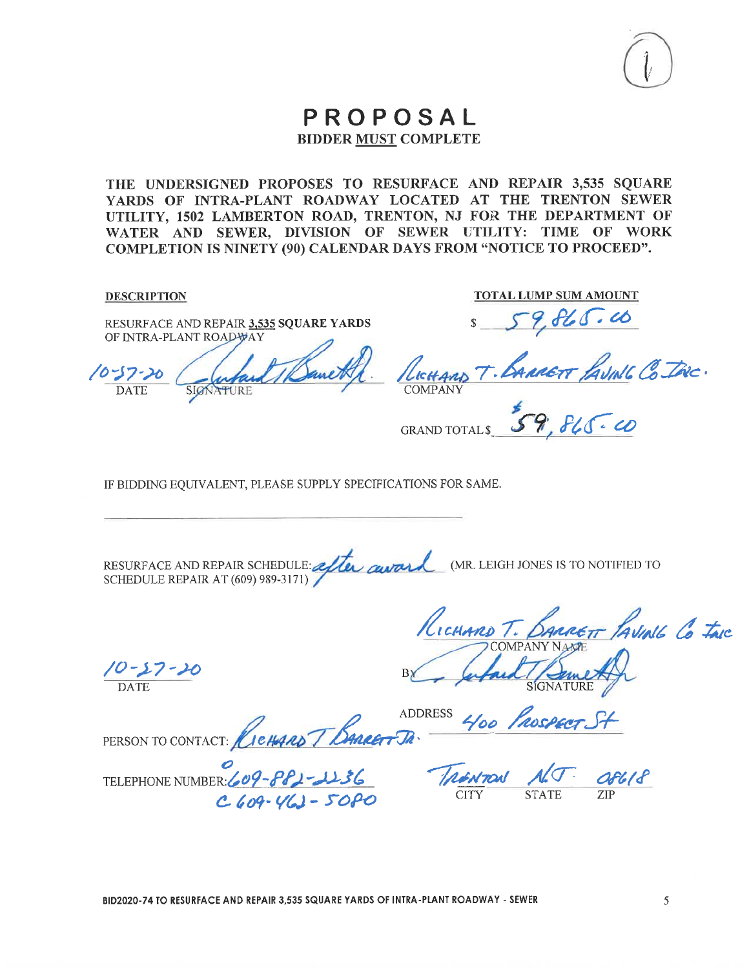

THE UNDERSIGNED PROPOSES TO RESURFACE AND REPAIR 3,535 SQUARE YARDS OF INTRA-PLANT ROADWAY LOCATED AT THE TRENTON SEWER UTILITY, 1502 LAMBERTON ROAD, TRENTON, NJ FOR THE DEPARTMENT OF WATER AND SEWER, DIVISION OF SEWER UTILITY: TIME OF WORK COMPLETION IS NINETY (90) CALENDAR DAYS FROM "NOTICE TO PROCEED".

**DESCRIPTION** 

RESURFACE AND REPAIR 3,535 SQUARE YARDS OF INTRA-PLANT ROADVAY

10-57-20 **DATE** SIGNATURE

**TOTAL LUMP SUM AMOUNT** 

**GRAND TOTAL \$** 

IF BIDDING EQUIVALENT, PLEASE SUPPLY SPECIFICATIONS FOR SAME.

RESURFACE AND REPAIR SCHEDULE: after award (MR. LEIGH JONES IS TO NOTIFIED TO **SCHEDULE REPAIR AT (609) 989-3171)** 

 $\frac{10-57-20}{\text{DATE}}$ 

RICHARD T. BARRETT PAVIAL CO TAIC

PERSON TO CONTACT: *CIETAAD T BARRET JA* 

TELEPHONE NUMBER: 609-881-1136  $C609 - V(1) - 508C$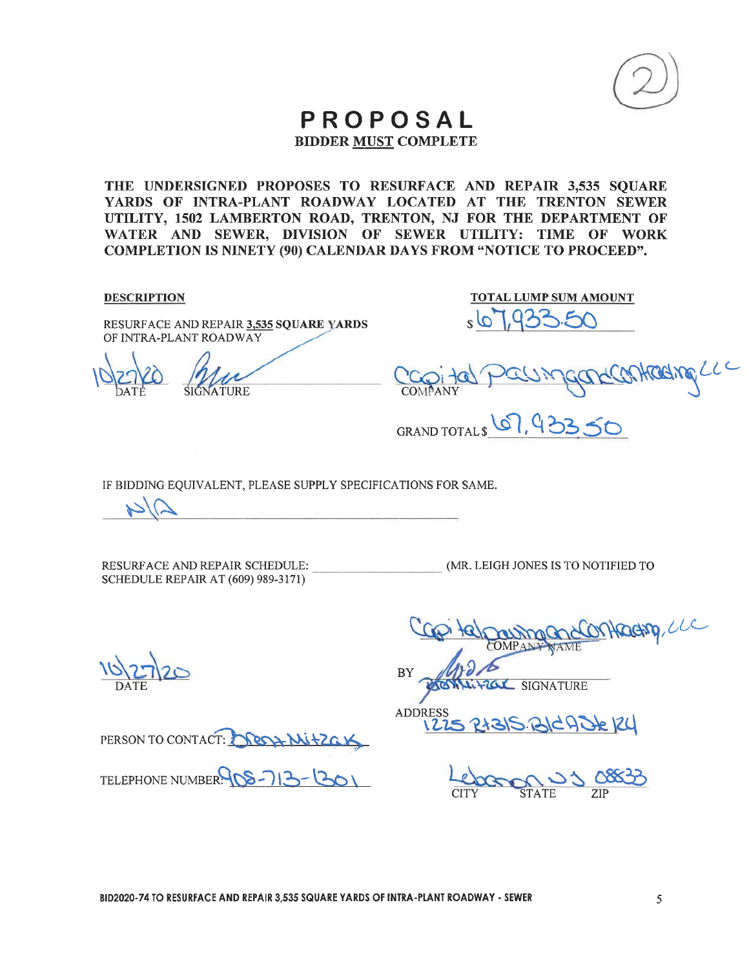

# PROPOSAL

**BIDDER MUST COMPLETE** 

THE UNDERSIGNED PROPOSES TO RESURFACE AND REPAIR 3,535 SQUARE YARDS OF INTRA-PLANT ROADWAY LOCATED AT THE TRENTON SEWER UTILITY, 1502 LAMBERTON ROAD, TRENTON, NJ FOR THE DEPARTMENT OF WATER AND SEWER, DIVISION OF SEWER UTILITY: TIME OF WORK **COMPLETION IS NINETY (90) CALENDAR DAYS FROM "NOTICE TO PROCEED".** 

**DESCRIPTION** 

RESURFACE AND REPAIR 3,535 SQUARE YARDS OF INTRA-PLANT ROADWAY

**TOTAL LUMP SUM AMOUNT** 

WHORKINGLUC

GRAND TOTALS 67, 93350

IF BIDDING EQUIVALENT, PLEASE SUPPLY SPECIFICATIONS FOR SAME.

RESURFACE AND REPAIR SCHEDULE: SCHEDULE REPAIR AT (609) 989-3171)

(MR. LEIGH JONES IS TO NOTIFIED TO

PERSON TO CONTACT: NEGA MITZAL

TELEPHONE NUMBER 200 -713-1301

Orthacting, LLC BY **LOL SIGNATURE** 

ADDRES 315. BICADE 124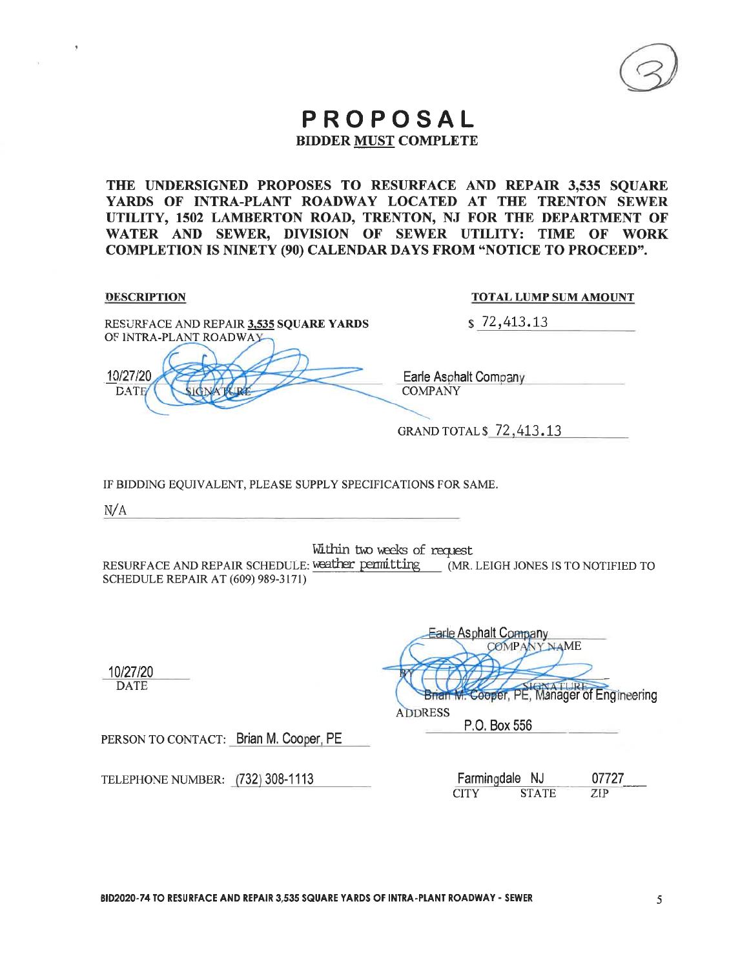THE UNDERSIGNED PROPOSES TO RESURFACE AND REPAIR 3,535 SQUARE YARDS OF INTRA-PLANT ROADWAY LOCATED AT THE TRENTON SEWER UTILITY, 1502 LAMBERTON ROAD, TRENTON, NJ FOR THE DEPARTMENT OF WATER AND SEWER, DIVISION OF SEWER UTILITY: TIME OF WORK **COMPLETION IS NINETY (90) CALENDAR DAYS FROM "NOTICE TO PROCEED".** 

| <b>DESCRIPTION</b>                                                                                                                | <b>TOTAL LUMP SUM AMOUNT</b>                                                                |
|-----------------------------------------------------------------------------------------------------------------------------------|---------------------------------------------------------------------------------------------|
| RESURFACE AND REPAIR 3,535 SQUARE YARDS<br>OF INTRA-PLANT ROADWAY                                                                 | \$72,413.13                                                                                 |
| 10/27/20<br><b>DATE</b>                                                                                                           | Earle Asphalt Company<br><b>COMPANY</b>                                                     |
|                                                                                                                                   | GRAND TOTAL \$72,413.13                                                                     |
| IF BIDDING EQUIVALENT, PLEASE SUPPLY SPECIFICATIONS FOR SAME.                                                                     |                                                                                             |
| N/A                                                                                                                               |                                                                                             |
| RESURFACE AND REPAIR SCHEDULE: weather permitting (MR. LEIGH JONES IS TO NOTIFIED TO<br><b>SCHEDULE REPAIR AT (609) 989-3171)</b> | Within two weeks of request                                                                 |
| 10/27/20<br><b>DATE</b>                                                                                                           | Earle Asphalt Company<br><b>COMPANY NAME</b><br>Brian M. Cooper, PE, Manager of Engineering |
|                                                                                                                                   | <b>ADDRESS</b><br>P.O. Box 556                                                              |
| PERSON TO CONTACT: Brian M. Cooper, PE                                                                                            |                                                                                             |
| TELEPHONE NUMBER: (732) 308-1113                                                                                                  | Farmingdale NJ<br>07727<br><b>CITY</b><br><b>STATE</b><br>ZIP                               |
|                                                                                                                                   |                                                                                             |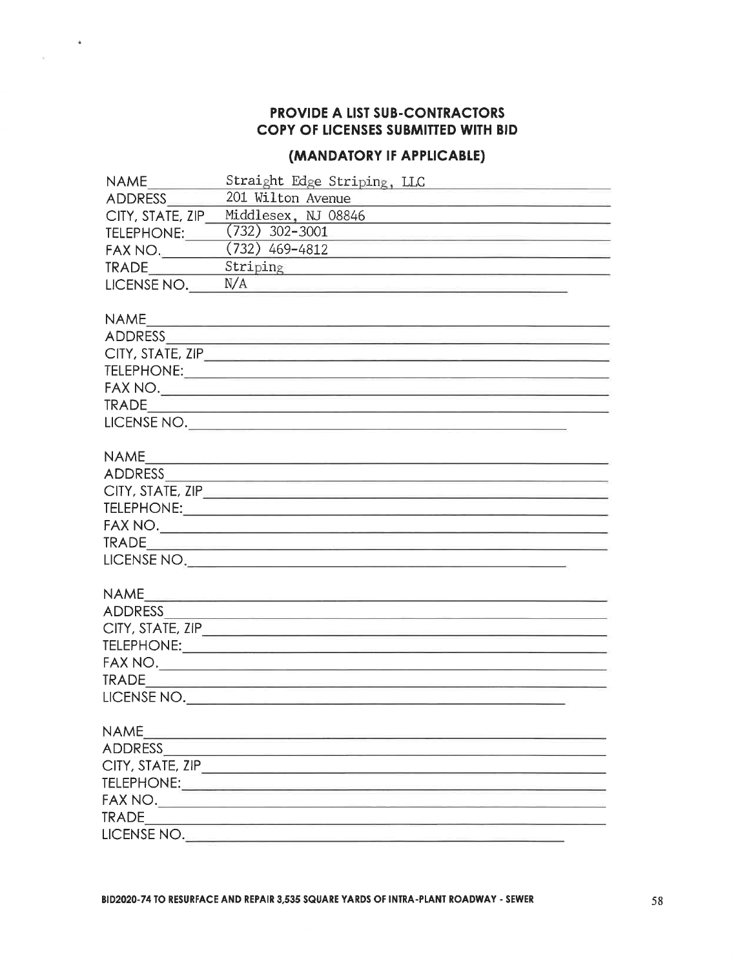## PROVIDE A LIST SUB-CONTRACTORS COPY OF LICENSES SUBMITTED WITH BID

 $\hat{\mathbf{z}}$ 

#### (MANDATORY IF APPLICABLE)

| <b>NAME</b>      |                                                                                                               |  |  |  |
|------------------|---------------------------------------------------------------------------------------------------------------|--|--|--|
| ADDRESS          | 201 Wilton Avenue                                                                                             |  |  |  |
| CITY, STATE, ZIP | Middlesex, NJ 08846                                                                                           |  |  |  |
| TELEPHONE:       | $(732)$ 302-3001                                                                                              |  |  |  |
| FAX NO.          | $(732)$ 469-4812<br><u> 1989 - Johann John Stein, markin amerikan basar personal (</u>                        |  |  |  |
| TRADE            | Striping                                                                                                      |  |  |  |
| LICENSE NO.      | N/A                                                                                                           |  |  |  |
|                  |                                                                                                               |  |  |  |
|                  |                                                                                                               |  |  |  |
|                  |                                                                                                               |  |  |  |
|                  |                                                                                                               |  |  |  |
|                  |                                                                                                               |  |  |  |
|                  |                                                                                                               |  |  |  |
|                  |                                                                                                               |  |  |  |
|                  | LICENSE NO.                                                                                                   |  |  |  |
|                  |                                                                                                               |  |  |  |
| <b>NAME</b>      |                                                                                                               |  |  |  |
|                  |                                                                                                               |  |  |  |
|                  | CITY, STATE, ZIP <u>Contact Communication</u>                                                                 |  |  |  |
|                  |                                                                                                               |  |  |  |
|                  |                                                                                                               |  |  |  |
|                  |                                                                                                               |  |  |  |
|                  | LICENSE NO. 2008 - 2008 - 2008 - 2008 - 2008 - 2008 - 2008 - 2008 - 2008 - 2008 - 2008 - 2008 - 2008 - 2008 - |  |  |  |
|                  |                                                                                                               |  |  |  |
| <b>NAME</b>      | <u> 1985 - Johann Harrison, mars et al. 1986 - Ann an India.</u>                                              |  |  |  |
|                  |                                                                                                               |  |  |  |
|                  |                                                                                                               |  |  |  |
|                  |                                                                                                               |  |  |  |
|                  |                                                                                                               |  |  |  |
|                  |                                                                                                               |  |  |  |
|                  |                                                                                                               |  |  |  |
|                  |                                                                                                               |  |  |  |
| <b>NAME</b>      | and the control of the control of the control of                                                              |  |  |  |
| ADDRESS          |                                                                                                               |  |  |  |
|                  |                                                                                                               |  |  |  |
|                  |                                                                                                               |  |  |  |
|                  |                                                                                                               |  |  |  |
| <b>TRADE</b>     |                                                                                                               |  |  |  |
| LICENSE NO.      |                                                                                                               |  |  |  |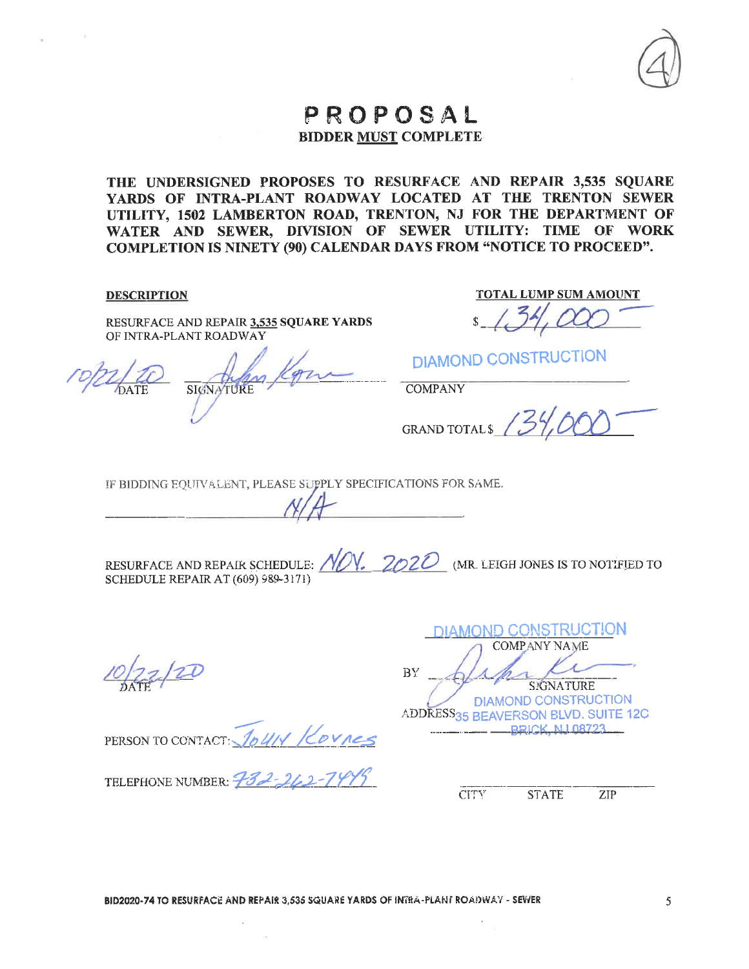THE UNDERSIGNED PROPOSES TO RESURFACE AND REPAIR 3,535 SQUARE YARDS OF INTRA-PLANT ROADWAY LOCATED AT THE TRENTON SEWER UTILITY, 1502 LAMBERTON ROAD, TRENTON, NJ FOR THE DEPARTMENT OF WATER AND SEWER, DIVISION OF SEWER UTILITY: TIME OF WORK **COMPLETION IS NINETY (90) CALENDAR DAYS FROM "NOTICE TO PROCEED".** 

**DESCRIPTION** 

RESURFACE AND REPAIR 3,535 SQUARE YARDS OF INTRA-PLANT ROADWAY

SIGNA

**TOTAL LUMP SUM AMOUNT** 

**DIAMOND CONSTRUCTION** 

**COMPANY** 

GRAND TOTALS 13

IF BIDDING EQUIVALENT, PLEASE SUPPLY SPECIFICATIONS FOR SAME.

RESURFACE AND REPAIR SCHEDULE:  $N/N$ . 2020 (MR. LEIGH JONES IS TO NOTIFIED TO SCHEDULE REPAIR AT (609) 989-3171)

JOUN KOVNES PERSON TO CONTACT:

TELEPHONE NUMBER: 732-262-79

**DIAMOND CONSTRUCTION COMPANY NAME** BY **SIGNATURE** DIAMOND CONSTRUCTION ADDRESS35 BEAVERSON BLVD. SUITE 12C **BRICK NJ 08723** 

**CITY STATE**  $ZIP$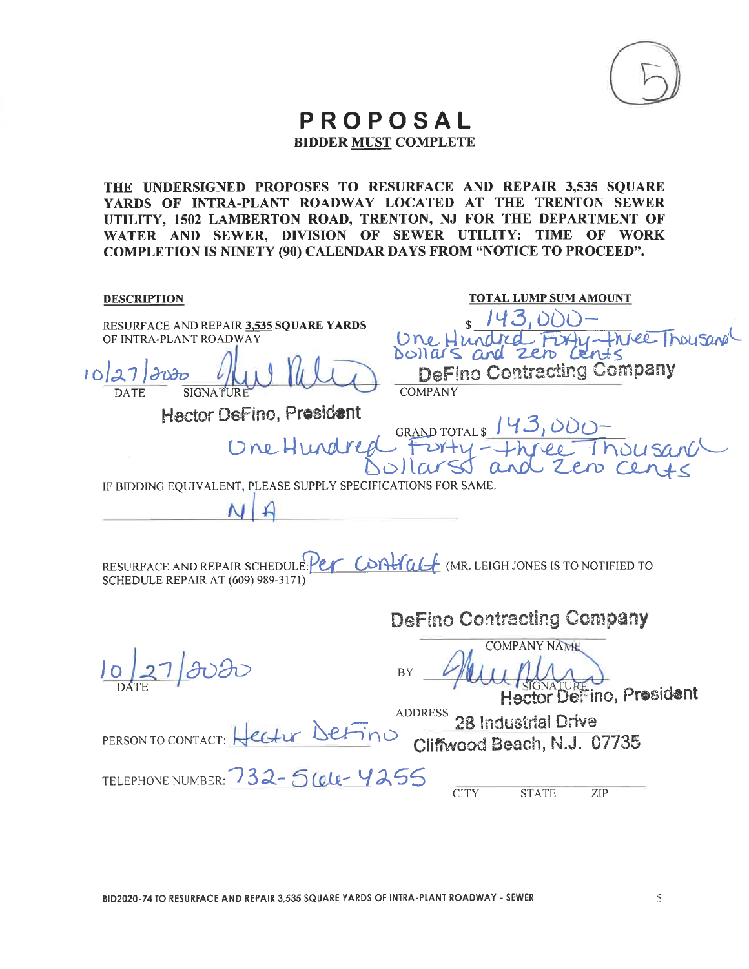

THE UNDERSIGNED PROPOSES TO RESURFACE AND REPAIR 3,535 SQUARE YARDS OF INTRA-PLANT ROADWAY LOCATED AT THE TRENTON SEWER UTILITY, 1502 LAMBERTON ROAD, TRENTON, NJ FOR THE DEPARTMENT OF WATER AND SEWER, DIVISION OF SEWER UTILITY: TIME OF WORK **COMPLETION IS NINETY (90) CALENDAR DAYS FROM "NOTICE TO PROCEED".** 

| <b>DESCRIPTION</b>                                                                                                         | <b>TOTAL LUMP SUM AMOUNT</b>                                                  |
|----------------------------------------------------------------------------------------------------------------------------|-------------------------------------------------------------------------------|
| RESURFACE AND REPAIR 3,535 SQUARE YARDS<br>OF INTRA-PLANT ROADWAY                                                          | 4-Fruce housand                                                               |
| 10/27/2020<br><b>SIGNA</b><br><b>DATE</b>                                                                                  | Dollars and zero lents<br><b>DeFino Contracting Company</b><br><b>COMPANY</b> |
| Hector DeFino, President                                                                                                   |                                                                               |
| Une Hundred                                                                                                                | GRAND TOTALS 143,000-<br>FUYTY-Three Thousand                                 |
| IF BIDDING EQUIVALENT, PLEASE SUPPLY SPECIFICATIONS FOR SAME.                                                              |                                                                               |
|                                                                                                                            |                                                                               |
| RESURFACE AND REPAIR SCHEDULE Per CONTIGLE (MR. LEIGH JONES IS TO NOTIFIED TO<br><b>SCHEDULE REPAIR AT (609) 989-3171)</b> |                                                                               |
|                                                                                                                            | <b>DeFino Contracting Company</b>                                             |
| 0272020                                                                                                                    | <b>COMPANY NAME</b><br>BY<br>Hector DeFino, President                         |
| PERSON TO CONTACT: Hectur DeFino                                                                                           | 28 Industrial Drive<br>Cliffwood Beach, N.J. 07735                            |
| TELEPHONE NUMBER: 732-56ele-4255                                                                                           | <b>CITY</b><br><b>STATE</b><br>ZIP                                            |